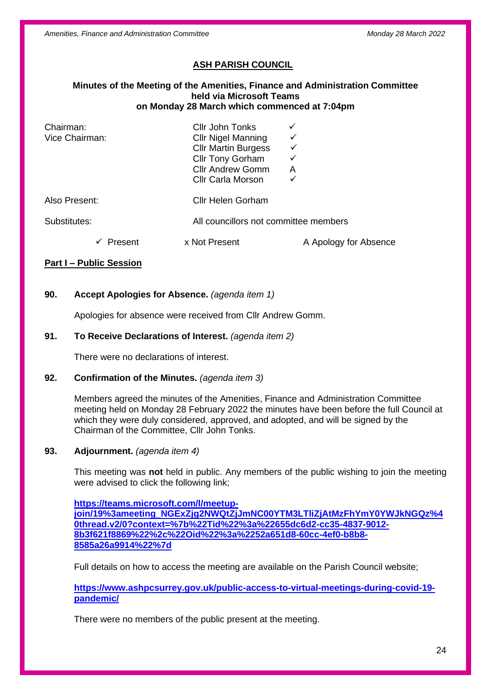*Amenities, Finance and Administration Committee Monday 28 March 2022*

# **ASH PARISH COUNCIL**

#### **Minutes of the Meeting of the Amenities, Finance and Administration Committee held via Microsoft Teams on Monday 28 March which commenced at 7:04pm**

| Chairman:<br>Vice Chairman: |         | Cllr John Tonks<br><b>Cllr Nigel Manning</b><br><b>CIIr Martin Burgess</b><br><b>Cllr Tony Gorham</b><br><b>Cllr Andrew Gomm</b><br><b>Cllr Carla Morson</b> | ✓<br>✓<br>✓<br>A<br>✓ |
|-----------------------------|---------|--------------------------------------------------------------------------------------------------------------------------------------------------------------|-----------------------|
| Also Present:               |         | <b>Cllr Helen Gorham</b>                                                                                                                                     |                       |
| Substitutes:                |         | All councillors not committee members                                                                                                                        |                       |
|                             | Present | x Not Present                                                                                                                                                | A Apology for Absence |

# **Part I – Public Session**

# **90. Accept Apologies for Absence.** *(agenda item 1)*

Apologies for absence were received from Cllr Andrew Gomm.

# **91. To Receive Declarations of Interest.** *(agenda item 2)*

There were no declarations of interest.

## **92. Confirmation of the Minutes.** *(agenda item 3)*

Members agreed the minutes of the Amenities, Finance and Administration Committee meeting held on Monday 28 February 2022 the minutes have been before the full Council at which they were duly considered, approved, and adopted, and will be signed by the Chairman of the Committee, Cllr John Tonks.

### **93. Adjournment.** *(agenda item 4)*

This meeting was **not** held in public. Any members of the public wishing to join the meeting were advised to click the following link;

**[https://teams.microsoft.com/l/meetup](https://teams.microsoft.com/l/meetup-join/19%3ameeting_NGExZjg2NWQtZjJmNC00YTM3LTliZjAtMzFhYmY0YWJkNGQz%40thread.v2/0?context=%7b%22Tid%22%3a%22655dc6d2-cc35-4837-9012-8b3f621f8869%22%2c%22Oid%22%3a%2252a651d8-60cc-4ef0-b8b8-8585a26a9914%22%7d)[join/19%3ameeting\\_NGExZjg2NWQtZjJmNC00YTM3LTliZjAtMzFhYmY0YWJkNGQz%4](https://teams.microsoft.com/l/meetup-join/19%3ameeting_NGExZjg2NWQtZjJmNC00YTM3LTliZjAtMzFhYmY0YWJkNGQz%40thread.v2/0?context=%7b%22Tid%22%3a%22655dc6d2-cc35-4837-9012-8b3f621f8869%22%2c%22Oid%22%3a%2252a651d8-60cc-4ef0-b8b8-8585a26a9914%22%7d) [0thread.v2/0?context=%7b%22Tid%22%3a%22655dc6d2-cc35-4837-9012-](https://teams.microsoft.com/l/meetup-join/19%3ameeting_NGExZjg2NWQtZjJmNC00YTM3LTliZjAtMzFhYmY0YWJkNGQz%40thread.v2/0?context=%7b%22Tid%22%3a%22655dc6d2-cc35-4837-9012-8b3f621f8869%22%2c%22Oid%22%3a%2252a651d8-60cc-4ef0-b8b8-8585a26a9914%22%7d) [8b3f621f8869%22%2c%22Oid%22%3a%2252a651d8-60cc-4ef0-b8b8-](https://teams.microsoft.com/l/meetup-join/19%3ameeting_NGExZjg2NWQtZjJmNC00YTM3LTliZjAtMzFhYmY0YWJkNGQz%40thread.v2/0?context=%7b%22Tid%22%3a%22655dc6d2-cc35-4837-9012-8b3f621f8869%22%2c%22Oid%22%3a%2252a651d8-60cc-4ef0-b8b8-8585a26a9914%22%7d) [8585a26a9914%22%7d](https://teams.microsoft.com/l/meetup-join/19%3ameeting_NGExZjg2NWQtZjJmNC00YTM3LTliZjAtMzFhYmY0YWJkNGQz%40thread.v2/0?context=%7b%22Tid%22%3a%22655dc6d2-cc35-4837-9012-8b3f621f8869%22%2c%22Oid%22%3a%2252a651d8-60cc-4ef0-b8b8-8585a26a9914%22%7d)**

Full details on how to access the meeting are available on the Parish Council website;

**[https://www.ashpcsurrey.gov.uk/public-access-to-virtual-meetings-during-covid-19](https://www.ashpcsurrey.gov.uk/public-access-to-virtual-meetings-during-covid-19-pandemic/) [pandemic/](https://www.ashpcsurrey.gov.uk/public-access-to-virtual-meetings-during-covid-19-pandemic/)**

There were no members of the public present at the meeting.